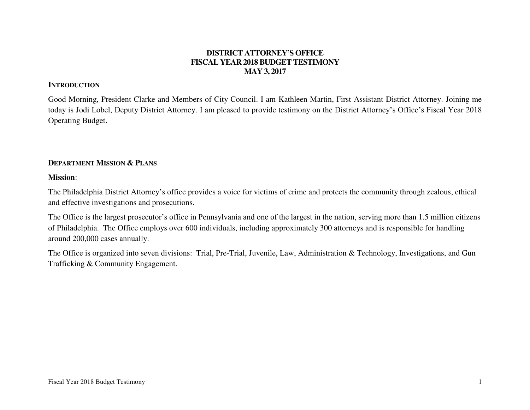## **DISTRICT ATTORNEY'S OFFICE FISCAL YEAR 2018 BUDGET TESTIMONY MAY 3, 2017**

#### **INTRODUCTION**

Good Morning, President Clarke and Members of City Council. I am Kathleen Martin, First Assistant District Attorney. Joining me today is Jodi Lobel, Deputy District Attorney. I am pleased to provide testimony on the District Attorney's Office's Fiscal Year 2018 Operating Budget.

### **DEPARTMENT MISSION & PLANS**

#### **Mission**:

The Philadelphia District Attorney's office provides a voice for victims of crime and protects the community through zealous, ethical and effective investigations and prosecutions.

The Office is the largest prosecutor's office in Pennsylvania and one of the largest in the nation, serving more than 1.5 million citizens of Philadelphia. The Office employs over 600 individuals, including approximately 300 attorneys and is responsible for handling around 200,000 cases annually.

The Office is organized into seven divisions: Trial, Pre-Trial, Juvenile, Law, Administration & Technology, Investigations, and Gun Trafficking & Community Engagement.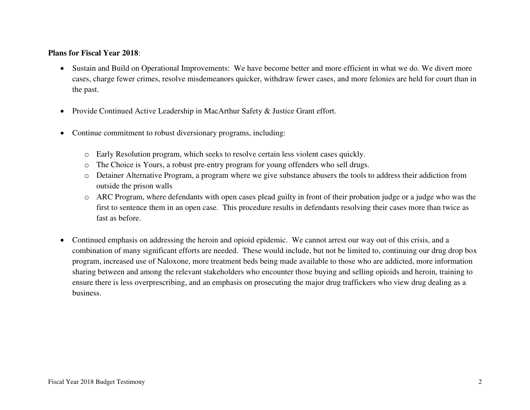## **Plans for Fiscal Year 2018**:

- Sustain and Build on Operational Improvements: We have become better and more efficient in what we do. We divert more cases, charge fewer crimes, resolve misdemeanors quicker, withdraw fewer cases, and more felonies are held for court than in the past.
- Provide Continued Active Leadership in MacArthur Safety & Justice Grant effort.
- Continue commitment to robust diversionary programs, including:
	- o Early Resolution program, which seeks to resolve certain less violent cases quickly.
	- o The Choice is Yours, a robust pre-entry program for young offenders who sell drugs.
	- o Detainer Alternative Program, a program where we give substance abusers the tools to address their addiction from outside the prison walls
	- o ARC Program, where defendants with open cases plead guilty in front of their probation judge or a judge who was the first to sentence them in an open case. This procedure results in defendants resolving their cases more than twice as fast as before.
- Continued emphasis on addressing the heroin and opioid epidemic. We cannot arrest our way out of this crisis, and a combination of many significant efforts are needed. These would include, but not be limited to, continuing our drug drop box program, increased use of Naloxone, more treatment beds being made available to those who are addicted, more information sharing between and among the relevant stakeholders who encounter those buying and selling opioids and heroin, training to ensure there is less overprescribing, and an emphasis on prosecuting the major drug traffickers who view drug dealing as a business.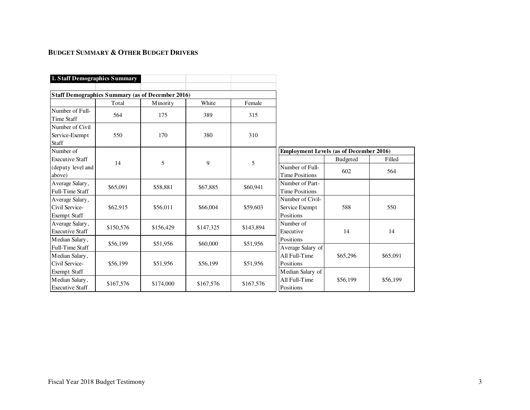## **BUDGET SUMMARY & OTHER BUDGET DRIVERS**

| 1. Staff Demographics Summary                            |           |           |           |           |                                                 |          |          |
|----------------------------------------------------------|-----------|-----------|-----------|-----------|-------------------------------------------------|----------|----------|
|                                                          |           |           |           |           |                                                 |          |          |
| <b>Staff Demographics Summary (as of December 2016)</b>  |           |           |           |           |                                                 |          |          |
|                                                          | Total     | Minority  | White     | Female    |                                                 |          |          |
| Number of Full-<br>Time Staff                            | 564       | 175       | 389       | 315       |                                                 |          |          |
| Number of Civil<br>Service-Exempt<br>Staff               | 550       | 170       | 380       | 310       |                                                 |          |          |
| Number of                                                |           |           |           |           | <b>Employment Levels (as of December 2016)</b>  |          |          |
| <b>Executive Staff</b>                                   |           |           |           |           |                                                 | Budgeted | Filled   |
| (deputy level and<br>above)                              | 14        | 5         | 9         | 5         | Number of Full-<br><b>Time Positions</b>        | 602      | 564      |
| Average Salary,<br>Full-Time Staff                       | \$65,091  | \$58,881  | \$67,885  | \$60,941  | Number of Part-<br><b>Time Positions</b>        |          |          |
| Average Salary,<br>Civil Service-<br>Exempt Staff        | \$62,915  | \$56,011  | \$66,004  | \$59,603  | Number of Civil-<br>Service Exempt<br>Positions | 588      | 550      |
| Average Salary,<br><b>Executive Staff</b>                | \$150,576 | \$156,429 | \$147,325 | \$143,894 | Number of<br>Executive                          | 14       | 14       |
| Median Salary,<br>Full-Time Staff                        | \$56,199  | \$51,956  | \$60,000  | \$51,956  | Positions<br>Average Salary of                  |          |          |
| Median Salary,<br>Civil Service-                         | \$56,199  | \$51,956  | \$56,199  | \$51,956  | All Full-Time<br>Positions                      | \$65,296 | \$65,091 |
| Exempt Staff<br>Median Salary,<br><b>Executive Staff</b> | \$167,576 | \$174,000 | \$167,576 | \$167,576 | Median Salary of<br>All Full-Time<br>Positions  | \$56,199 | \$56,199 |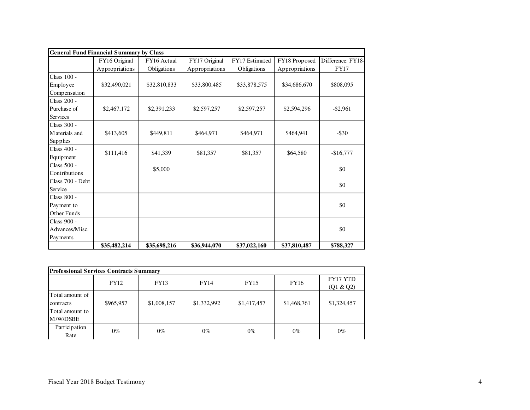|                    | <b>General Fund Financial Summary by Class</b> |              |                |                |                |                   |  |
|--------------------|------------------------------------------------|--------------|----------------|----------------|----------------|-------------------|--|
|                    | FY16 Original                                  | FY16 Actual  | FY17 Original  | FY17 Estimated | FY18 Proposed  | Difference: FY18- |  |
|                    | Appropriations                                 | Obligations  | Appropriations | Obligations    | Appropriations | <b>FY17</b>       |  |
| Class 100 -        |                                                |              |                |                |                |                   |  |
| Employee           | \$32,490,021                                   | \$32,810,833 | \$33,800,485   | \$33,878,575   | \$34,686,670   | \$808,095         |  |
| Compensation       |                                                |              |                |                |                |                   |  |
| <b>Class 200 -</b> |                                                |              |                |                |                |                   |  |
| Purchase of        | \$2,467,172                                    | \$2,391,233  | \$2,597,257    | \$2,597,257    | \$2,594,296    | $-$ \$2,961       |  |
| <b>Services</b>    |                                                |              |                |                |                |                   |  |
| Class 300 -        |                                                |              |                |                |                |                   |  |
| Materials and      | \$413,605                                      | \$449,811    | \$464,971      | \$464,971      | \$464,941      | $-$ \$30          |  |
| Supplies           |                                                |              |                |                |                |                   |  |
| Class 400 -        | \$111,416                                      | \$41,339     | \$81,357       | \$81,357       | \$64,580       | $-$16,777$        |  |
| Equipment          |                                                |              |                |                |                |                   |  |
| Class 500 -        |                                                | \$5,000      |                |                |                | \$0               |  |
| Contributions      |                                                |              |                |                |                |                   |  |
| Class 700 - Debt   |                                                |              |                |                |                | \$0               |  |
| Service            |                                                |              |                |                |                |                   |  |
| Class 800 -        |                                                |              |                |                |                |                   |  |
| Payment to         |                                                |              |                |                |                | \$0               |  |
| Other Funds        |                                                |              |                |                |                |                   |  |
| Class 900 -        |                                                |              |                |                |                |                   |  |
| Advances/Misc.     |                                                |              |                |                |                | \$0               |  |
| Payments           |                                                |              |                |                |                |                   |  |
|                    | \$35,482,214                                   | \$35,698,216 | \$36,944,070   | \$37,022,160   | \$37,810,487   | \$788,327         |  |

| <b>Professional Services Contracts Summary</b> |             |             |             |             |             |                       |  |  |
|------------------------------------------------|-------------|-------------|-------------|-------------|-------------|-----------------------|--|--|
|                                                | <b>FY12</b> | <b>FY13</b> | FY14        | <b>FY15</b> | FY16        | FY17 YTD<br>(Q1 & Q2) |  |  |
| Total amount of<br>contracts                   | \$965,957   | \$1,008,157 | \$1,332,992 | \$1,417,457 | \$1,468,761 | \$1,324,457           |  |  |
| Total amount to<br>M/W/DSBE                    |             |             |             |             |             |                       |  |  |
| Participation<br>Rate                          | $0\%$       | $0\%$       | $0\%$       | $0\%$       | $0\%$       | $0\%$                 |  |  |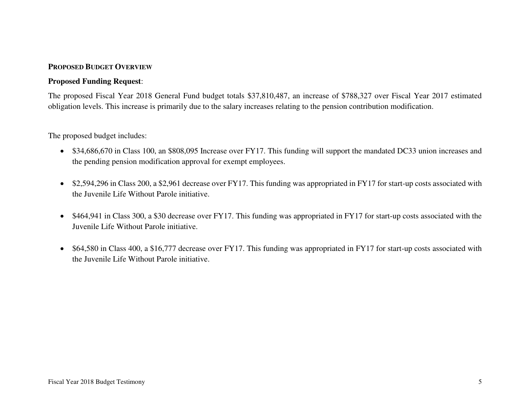### **PROPOSED BUDGET OVERVIEW**

#### **Proposed Funding Request**:

The proposed Fiscal Year 2018 General Fund budget totals \$37,810,487, an increase of \$788,327 over Fiscal Year 2017 estimated obligation levels. This increase is primarily due to the salary increases relating to the pension contribution modification.

The proposed budget includes:

- \$34,686,670 in Class 100, an \$808,095 Increase over FY17. This funding will support the mandated DC33 union increases and the pending pension modification approval for exempt employees.
- \$2,594,296 in Class 200, a \$2,961 decrease over FY17. This funding was appropriated in FY17 for start-up costs associated with the Juvenile Life Without Parole initiative.
- \$464,941 in Class 300, a \$30 decrease over FY17. This funding was appropriated in FY17 for start-up costs associated with the Juvenile Life Without Parole initiative.
- \$64,580 in Class 400, a \$16,777 decrease over FY17. This funding was appropriated in FY17 for start-up costs associated with the Juvenile Life Without Parole initiative.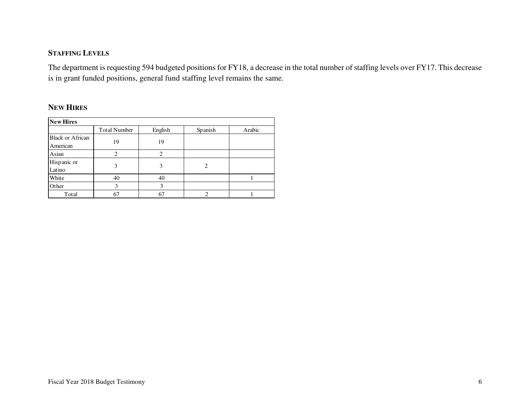# **STAFFING LEVELS**

The department is requesting 594 budgeted positions for FY18, a decrease in the total number of staffing levels over FY17. This decrease is in grant funded positions, general fund staffing level remains the same.

## **NEW HIRES**

| <b>New Hires</b>        |                     |         |         |        |  |  |  |  |
|-------------------------|---------------------|---------|---------|--------|--|--|--|--|
|                         | <b>Total Number</b> | English | Spanish | Arabic |  |  |  |  |
| <b>Black or African</b> |                     |         |         |        |  |  |  |  |
| American                | 19                  | 19      |         |        |  |  |  |  |
| Asian                   | ∍                   | ∍       |         |        |  |  |  |  |
| Hispanic or             |                     |         |         |        |  |  |  |  |
| Latino                  | 3                   | 3       | 2       |        |  |  |  |  |
| White                   | 40                  | 40      |         |        |  |  |  |  |
| Other                   | 3                   | 3       |         |        |  |  |  |  |
| Total                   | 67                  | 67      | ◠       |        |  |  |  |  |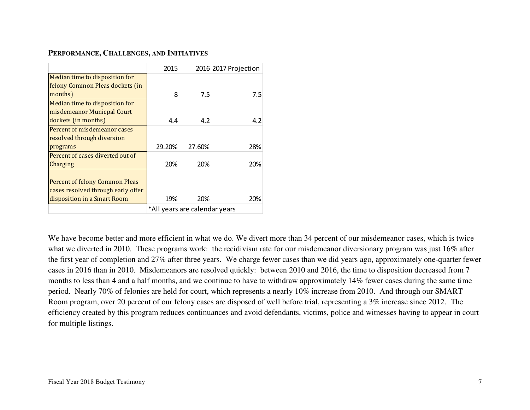### **PERFORMANCE, CHALLENGES, AND INITIATIVES**

|                                    | 2015   |                               | 2016 2017 Projection |  |  |  |  |
|------------------------------------|--------|-------------------------------|----------------------|--|--|--|--|
| Median time to disposition for     |        |                               |                      |  |  |  |  |
| felony Common Pleas dockets (in    |        |                               |                      |  |  |  |  |
| months)                            | 8      | 7.5                           | 7.5                  |  |  |  |  |
| Median time to disposition for     |        |                               |                      |  |  |  |  |
| misdemeanor Municpal Court         |        |                               |                      |  |  |  |  |
| dockets (in months)                | 4.4    | 4.2                           | 4.2                  |  |  |  |  |
| Percent of misdemeanor cases       |        |                               |                      |  |  |  |  |
| resolved through diversion         |        |                               |                      |  |  |  |  |
| programs                           | 29.20% | 27.60%                        | 28%                  |  |  |  |  |
| Percent of cases diverted out of   |        |                               |                      |  |  |  |  |
| Charging                           | 20%    | 20%                           | 20%                  |  |  |  |  |
|                                    |        |                               |                      |  |  |  |  |
| Percent of felony Common Pleas     |        |                               |                      |  |  |  |  |
| cases resolved through early offer |        |                               |                      |  |  |  |  |
| disposition in a Smart Room        | 19%    | 20%                           | 20%                  |  |  |  |  |
|                                    |        | *All years are calendar years |                      |  |  |  |  |

We have become better and more efficient in what we do. We divert more than 34 percent of our misdemeanor cases, which is twice what we diverted in 2010. These programs work: the recidivism rate for our misdemeanor diversionary program was just 16% after the first year of completion and 27% after three years. We charge fewer cases than we did years ago, approximately one-quarter fewer cases in 2016 than in 2010. Misdemeanors are resolved quickly: between 2010 and 2016, the time to disposition decreased from 7 months to less than 4 and a half months, and we continue to have to withdraw approximately 14% fewer cases during the same time period. Nearly 70% of felonies are held for court, which represents a nearly 10% increase from 2010. And through our SMART Room program, over 20 percent of our felony cases are disposed of well before trial, representing a 3% increase since 2012. The efficiency created by this program reduces continuances and avoid defendants, victims, police and witnesses having to appear in court for multiple listings.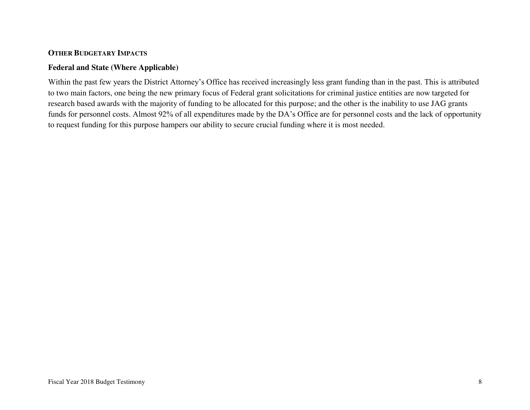## **OTHER BUDGETARY IMPACTS**

## **Federal and State (Where Applicable)**

Within the past few years the District Attorney's Office has received increasingly less grant funding than in the past. This is attributed to two main factors, one being the new primary focus of Federal grant solicitations for criminal justice entities are now targeted for research based awards with the majority of funding to be allocated for this purpose; and the other is the inability to use JAG grants funds for personnel costs. Almost 92% of all expenditures made by the DA's Office are for personnel costs and the lack of opportunity to request funding for this purpose hampers our ability to secure crucial funding where it is most needed.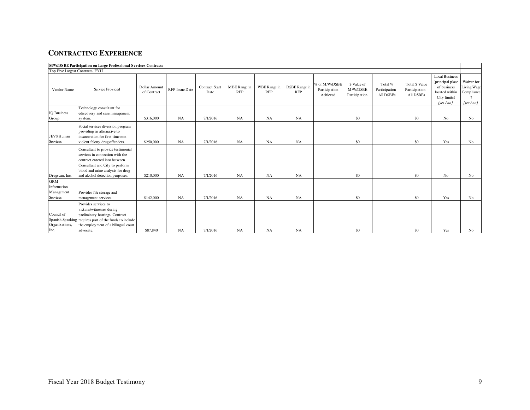# **CONTRACTING EXPERIENCE**

|                                                             | M/W/DSBE Participation on Large Professional Services Contracts                                                                                                                                                 |                              |                       |                        |                            |                            |                             |                                            |                                          |                                         |                                                       |                                                                                                        |                                                     |
|-------------------------------------------------------------|-----------------------------------------------------------------------------------------------------------------------------------------------------------------------------------------------------------------|------------------------------|-----------------------|------------------------|----------------------------|----------------------------|-----------------------------|--------------------------------------------|------------------------------------------|-----------------------------------------|-------------------------------------------------------|--------------------------------------------------------------------------------------------------------|-----------------------------------------------------|
| Top Five Largest Contracts, FY17                            |                                                                                                                                                                                                                 |                              |                       |                        |                            |                            |                             |                                            |                                          |                                         |                                                       |                                                                                                        |                                                     |
| Vendor Name                                                 | Service Provided                                                                                                                                                                                                | Dollar Amount<br>of Contract | <b>RFP</b> Issue Date | Contract Start<br>Date | MBE Range in<br><b>RFP</b> | WBE Range in<br><b>RFP</b> | DSBE Range in<br><b>RFP</b> | % of M/W/DSBE<br>Participation<br>Achieved | \$ Value of<br>M/W/DSBE<br>Participation | Total %<br>Participation -<br>All DSBEs | Total \$ Value<br>Participation -<br><b>All DSBEs</b> | <b>Local Business</b><br>(principal place<br>of business<br>located within<br>City limits)<br>[ves/no] | Waiver for<br>Living Wage<br>Compliance<br>[yes/no] |
| <b>IO</b> Business<br>Group                                 | Technology consultant for<br>ediscovery and case management<br>system.                                                                                                                                          | \$316,000                    | NA                    | 7/1/2016               | NA                         | NA                         | NA                          |                                            | \$0                                      |                                         | \$0                                                   | No                                                                                                     | No                                                  |
| <b>JEVS Human</b><br><b>Services</b>                        | Social services diversion program<br>providing an alternative to<br>incarceration for first time non<br>violent felony drug offenders.                                                                          | \$250,000                    | NA                    | 7/1/2016               | NA                         | NA                         | NA                          |                                            | \$0                                      |                                         | \$0                                                   | Yes                                                                                                    | No                                                  |
| Drugscan, Inc.                                              | Consultant to provide testimonial<br>services in connection with the<br>contract entered into between<br>Consultant and City to perform<br>blood and urine analysis for drug<br>and alcohol detection purposes. | \$210,000                    | NA                    | 7/1/2016               | NA                         | NA                         | NA                          |                                            | \$0                                      |                                         | \$0                                                   | No                                                                                                     | No                                                  |
| <b>GRM</b><br>Information<br>M anagement<br><b>Services</b> | Provides file storage and<br>management services.                                                                                                                                                               | \$142,000                    | NA                    | 7/1/2016               | NA                         | NA                         | NA                          |                                            | \$0                                      |                                         | \$0                                                   | Yes                                                                                                    | No                                                  |
| Council of<br>Spanish Speaking<br>Organizations,<br>Inc.    | Provides services to<br>victims/witnesses during<br>preliminary hearings. Contract<br>requires part of the funds to include<br>the employment of a bilingual court<br>advocate.                                 | \$87,840                     | NA                    | 7/1/2016               | NA                         | NA                         | NA                          |                                            | \$0                                      |                                         | \$0                                                   | Yes                                                                                                    | No                                                  |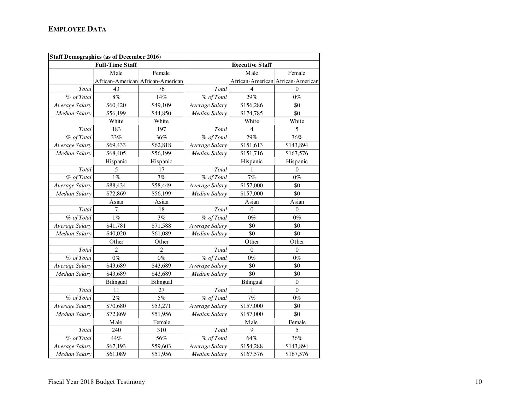|                      | <b>Staff Demographics (as of December 2016)</b> |                                   |                      |                        |                                   |
|----------------------|-------------------------------------------------|-----------------------------------|----------------------|------------------------|-----------------------------------|
|                      | <b>Full-Time Staff</b>                          |                                   |                      | <b>Executive Staff</b> |                                   |
|                      | M ale                                           | Female                            |                      | M ale                  | Female                            |
|                      |                                                 | African-American African-American |                      |                        | African-American African-American |
| Total                | 43                                              | 76                                | Total                | $\overline{4}$         | $\theta$                          |
| % of Total           | $8\%$                                           | 14%                               | % of Total           | 29%                    | $0\%$                             |
| Average Salary       | \$60,420                                        | \$49,109                          | Average Salary       | \$156,286              | \$0                               |
| Median Salary        | \$56,199                                        | \$44,850                          | <b>Median Salary</b> | \$174,785              | \$0                               |
|                      | White                                           | White                             |                      | White                  | White                             |
| Total                | 183                                             | 197                               | Total                | 4                      | 5                                 |
| % of Total           | 33%                                             | 36%                               | % of Total           | 29%                    | 36%                               |
| Average Salary       | \$69,433                                        | \$62,818                          | Average Salary       | \$151,613              | \$143,894                         |
| Median Salary        | \$68,405                                        | \$56,199                          | Median Salary        | \$151,716              | \$167,576                         |
|                      | Hispanic                                        | Hispanic                          |                      | Hispanic               | Hispanic                          |
| Total                | 5                                               | 17                                | Total                |                        | $\theta$                          |
| % of Total           | $1\%$                                           | 3%                                | % of Total           | 7%                     | $0\%$                             |
| Average Salary       | \$88,434                                        | \$58,449                          | Average Salary       | \$157,000              | \$0                               |
| Median Salary        | \$72,869                                        | \$56,199                          | Median Salary        | \$157,000              | \$0                               |
|                      | Asian                                           | Asian                             |                      | Asian                  | Asian                             |
| Total                | $\tau$                                          | 18                                | Total                | $\overline{0}$         | $\boldsymbol{0}$                  |
| % of Total           | $1\%$                                           | 3%                                | % of Total           | $0\%$                  | $0\%$                             |
| Average Salary       | \$41,781                                        | \$71,588                          | Average Salary       | \$0                    | \$0                               |
| Median Salary        | \$40,020                                        | \$61,089                          | Median Salary        | \$0                    | \$0                               |
|                      | Other                                           | Other                             |                      | Other                  | Other                             |
| Total                | $\overline{c}$                                  | $\overline{2}$                    | Total                | $\theta$               | $\theta$                          |
| % of Total           | $0\%$                                           | $0\%$                             | % of Total           | $0\%$                  | $0\%$                             |
| Average Salary       | \$43,689                                        | \$43,689                          | Average Salary       | \$0                    | \$0                               |
| Median Salary        | \$43,689                                        | \$43,689                          | <b>Median Salary</b> | \$0                    | \$0                               |
|                      | Bilingual                                       | Bilingual                         |                      | Bilingual              | $\boldsymbol{0}$                  |
| Total                | 11                                              | 27                                | Total                | 1                      | $\theta$                          |
| % of Total           | 2%                                              | 5%                                | % of Total           | 7%                     | $0\%$                             |
| Average Salary       | \$70,680                                        | \$53,271                          | Average Salary       | \$157,000              | \$0                               |
| Median Salary        | \$72,869                                        | \$51,956                          | Median Salary        | \$157,000              | \$0                               |
|                      | Male                                            | Female                            |                      | Male                   | Female                            |
| Total                | 240                                             | 310                               | Total                | 9                      | 5                                 |
| % of Total           | 44%                                             | 56%                               | % of Total           | 64%                    | 36%                               |
| Average Salary       | \$67,193                                        | \$59,603                          | Average Salary       | \$154,288              | \$143,894                         |
| <b>Median Salary</b> | \$61,089                                        | \$51,956                          | Median Salary        | \$167,576              | \$167,576                         |